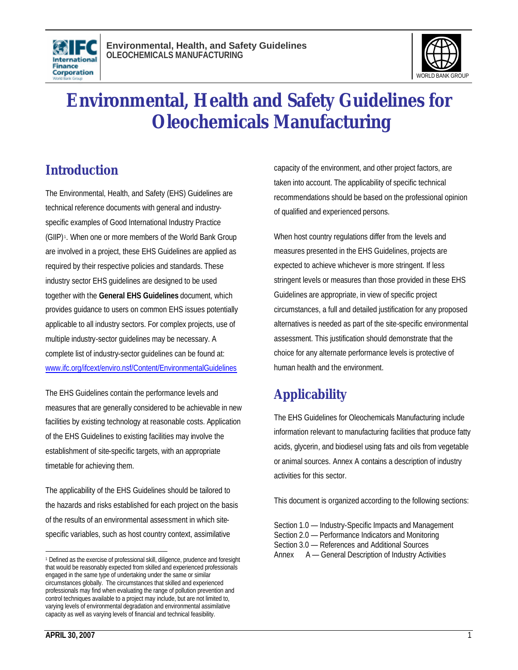



# **Environmental, Health and Safety Guidelines for Oleochemicals Manufacturing**

# **Introduction**

The Environmental, Health, and Safety (EHS) Guidelines are technical reference documents with general and industryspecific examples of Good International Industry Practice (GIIP) <sup>1</sup> . When one or more members of the World Bank Group are involved in a project, these EHS Guidelines are applied as required by their respective policies and standards. These industry sector EHS guidelines are designed to be used together with the **General EHS Guidelines** document, which provides guidance to users on common EHS issues potentially applicable to all industry sectors. For complex projects, use of multiple industry-sector guidelines may be necessary. A complete list of industry-sector guidelines can be found at: www.ifc.org/ifcext/enviro.nsf/Content/EnvironmentalGuidelines

The EHS Guidelines contain the performance levels and measures that are generally considered to be achievable in new facilities by existing technology at reasonable costs. Application of the EHS Guidelines to existing facilities may involve the establishment of site-specific targets, with an appropriate timetable for achieving them.

The applicability of the EHS Guidelines should be tailored to the hazards and risks established for each project on the basis of the results of an environmental assessment in which sitespecific variables, such as host country context, assimilative

capacity of the environment, and other project factors, are taken into account. The applicability of specific technical recommendations should be based on the professional opinion of qualified and experienced persons.

When host country regulations differ from the levels and measures presented in the EHS Guidelines, projects are expected to achieve whichever is more stringent. If less stringent levels or measures than those provided in these EHS Guidelines are appropriate, in view of specific project circumstances, a full and detailed justification for any proposed alternatives is needed as part of the site-specific environmental assessment. This justification should demonstrate that the choice for any alternate performance levels is protective of human health and the environment.

# **Applicability**

The EHS Guidelines for Oleochemicals Manufacturing include information relevant to manufacturing facilities that produce fatty acids, glycerin, and biodiesel using fats and oils from vegetable or animal sources. Annex A contains a description of industry activities for this sector.

This document is organized according to the following sections:

- Section 1.0 Industry-Specific Impacts and Management Section 2.0 — Performance Indicators and Monitoring Section 3.0 — References and Additional Sources
- Annex A General Description of Industry Activities

l <sup>1</sup> Defined as the exercise of professional skill, diligence, prudence and foresight that would be reasonably expected from skilled and experienced professionals engaged in the same type of undertaking under the same or similar circumstances globally. The circumstances that skilled and experienced professionals may find when evaluating the range of pollution prevention and control techniques available to a project may include, but are not limited to, varying levels of environmental degradation and environmental assimilative capacity as well as varying levels of financial and technical feasibility.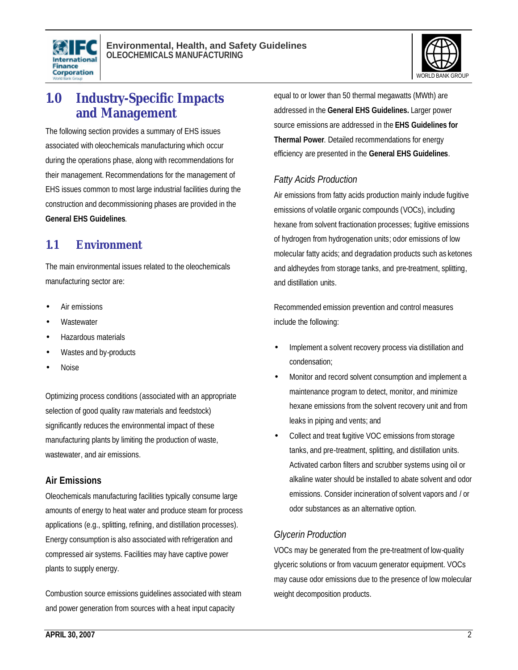



# **1.0 Industry-Specific Impacts and Management**

The following section provides a summary of EHS issues associated with oleochemicals manufacturing which occur during the operations phase, along with recommendations for their management. Recommendations for the management of EHS issues common to most large industrial facilities during the construction and decommissioning phases are provided in the **General EHS Guidelines**.

# **1.1 Environment**

The main environmental issues related to the oleochemicals manufacturing sector are:

- Air emissions
- **Wastewater**
- Hazardous materials
- Wastes and by-products
- Noise

Optimizing process conditions (associated with an appropriate selection of good quality raw materials and feedstock) significantly reduces the environmental impact of these manufacturing plants by limiting the production of waste, wastewater, and air emissions.

### **Air Emissions**

Oleochemicals manufacturing facilities typically consume large amounts of energy to heat water and produce steam for process applications (e.g., splitting, refining, and distillation processes). Energy consumption is also associated with refrigeration and compressed air systems. Facilities may have captive power plants to supply energy.

Combustion source emissions guidelines associated with steam and power generation from sources with a heat input capacity

equal to or lower than 50 thermal megawatts (MWth) are addressed in the **General EHS Guidelines.** Larger power source emissions are addressed in the **EHS Guidelines for Thermal Power**. Detailed recommendations for energy efficiency are presented in the **General EHS Guidelines**.

### *Fatty Acids Production*

Air emissions from fatty acids production mainly include fugitive emissions of volatile organic compounds (VOCs), including hexane from solvent fractionation processes; fugitive emissions of hydrogen from hydrogenation units; odor emissions of low molecular fatty acids; and degradation products such as ketones and aldheydes from storage tanks, and pre-treatment, splitting, and distillation units.

Recommended emission prevention and control measures include the following:

- Implement a solvent recovery process via distillation and condensation;
- Monitor and record solvent consumption and implement a maintenance program to detect, monitor, and minimize hexane emissions from the solvent recovery unit and from leaks in piping and vents; and
- Collect and treat fugitive VOC emissions from storage tanks, and pre-treatment, splitting, and distillation units. Activated carbon filters and scrubber systems using oil or alkaline water should be installed to abate solvent and odor emissions. Consider incineration of solvent vapors and / or odor substances as an alternative option.

# *Glycerin Production*

VOCs may be generated from the pre-treatment of low-quality glyceric solutions or from vacuum generator equipment. VOCs may cause odor emissions due to the presence of low molecular weight decomposition products.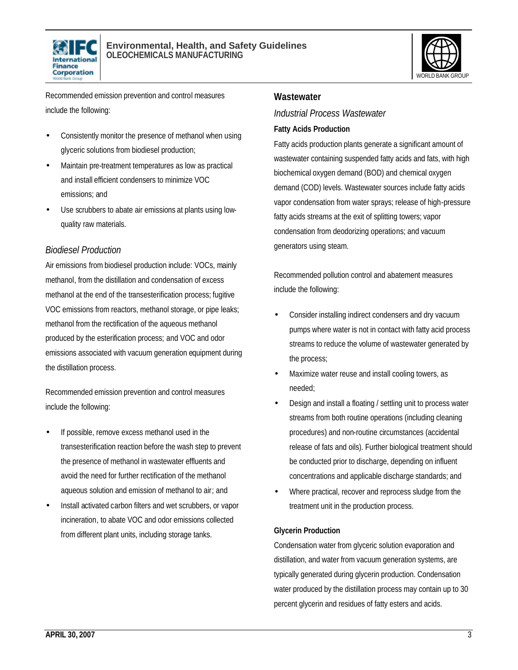



Recommended emission prevention and control measures include the following:

- Consistently monitor the presence of methanol when using glyceric solutions from biodiesel production;
- Maintain pre-treatment temperatures as low as practical and install efficient condensers to minimize VOC emissions; and
- Use scrubbers to abate air emissions at plants using lowquality raw materials.

### *Biodiesel Production*

Air emissions from biodiesel production include: VOCs, mainly methanol, from the distillation and condensation of excess methanol at the end of the transesterification process; fugitive VOC emissions from reactors, methanol storage, or pipe leaks; methanol from the rectification of the aqueous methanol produced by the esterification process; and VOC and odor emissions associated with vacuum generation equipment during the distillation process.

Recommended emission prevention and control measures include the following:

- If possible, remove excess methanol used in the transesterification reaction before the wash step to prevent the presence of methanol in wastewater effluents and avoid the need for further rectification of the methanol aqueous solution and emission of methanol to air; and
- Install activated carbon filters and wet scrubbers, or vapor incineration, to abate VOC and odor emissions collected from different plant units, including storage tanks.

### **Wastewater**

#### *Industrial Process Wastewater*

#### **Fatty Acids Production**

Fatty acids production plants generate a significant amount of wastewater containing suspended fatty acids and fats, with high biochemical oxygen demand (BOD) and chemical oxygen demand (COD) levels. Wastewater sources include fatty acids vapor condensation from water sprays; release of high-pressure fatty acids streams at the exit of splitting towers; vapor condensation from deodorizing operations; and vacuum generators using steam.

Recommended pollution control and abatement measures include the following:

- Consider installing indirect condensers and dry vacuum pumps where water is not in contact with fatty acid process streams to reduce the volume of wastewater generated by the process;
- Maximize water reuse and install cooling towers, as needed;
- Design and install a floating / settling unit to process water streams from both routine operations (including cleaning procedures) and non-routine circumstances (accidental release of fats and oils). Further biological treatment should be conducted prior to discharge, depending on influent concentrations and applicable discharge standards; and
- Where practical, recover and reprocess sludge from the treatment unit in the production process.

### **Glycerin Production**

Condensation water from glyceric solution evaporation and distillation, and water from vacuum generation systems, are typically generated during glycerin production. Condensation water produced by the distillation process may contain up to 30 percent glycerin and residues of fatty esters and acids.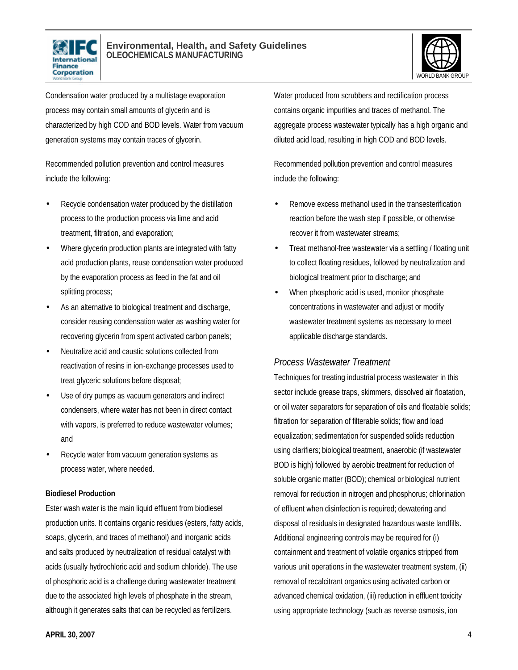



Condensation water produced by a multistage evaporation process may contain small amounts of glycerin and is characterized by high COD and BOD levels. Water from vacuum generation systems may contain traces of glycerin.

Recommended pollution prevention and control measures include the following:

- Recycle condensation water produced by the distillation process to the production process via lime and acid treatment, filtration, and evaporation;
- Where glycerin production plants are integrated with fatty acid production plants, reuse condensation water produced by the evaporation process as feed in the fat and oil splitting process;
- As an alternative to biological treatment and discharge, consider reusing condensation water as washing water for recovering glycerin from spent activated carbon panels;
- Neutralize acid and caustic solutions collected from reactivation of resins in ion-exchange processes used to treat glyceric solutions before disposal;
- Use of dry pumps as vacuum generators and indirect condensers, where water has not been in direct contact with vapors, is preferred to reduce wastewater volumes; and
- Recycle water from vacuum generation systems as process water, where needed.

### **Biodiesel Production**

Ester wash water is the main liquid effluent from biodiesel production units. It contains organic residues (esters, fatty acids, soaps, glycerin, and traces of methanol) and inorganic acids and salts produced by neutralization of residual catalyst with acids (usually hydrochloric acid and sodium chloride). The use of phosphoric acid is a challenge during wastewater treatment due to the associated high levels of phosphate in the stream, although it generates salts that can be recycled as fertilizers.

Water produced from scrubbers and rectification process contains organic impurities and traces of methanol. The aggregate process wastewater typically has a high organic and diluted acid load, resulting in high COD and BOD levels.

Recommended pollution prevention and control measures include the following:

- Remove excess methanol used in the transesterification reaction before the wash step if possible, or otherwise recover it from wastewater streams;
- Treat methanol-free wastewater via a settling / floating unit to collect floating residues, followed by neutralization and biological treatment prior to discharge; and
- When phosphoric acid is used, monitor phosphate concentrations in wastewater and adjust or modify wastewater treatment systems as necessary to meet applicable discharge standards.

### *Process Wastewater Treatment*

Techniques for treating industrial process wastewater in this sector include grease traps, skimmers, dissolved air floatation, or oil water separators for separation of oils and floatable solids; filtration for separation of filterable solids; flow and load equalization; sedimentation for suspended solids reduction using clarifiers; biological treatment, anaerobic (if wastewater BOD is high) followed by aerobic treatment for reduction of soluble organic matter (BOD); chemical or biological nutrient removal for reduction in nitrogen and phosphorus; chlorination of effluent when disinfection is required; dewatering and disposal of residuals in designated hazardous waste landfills. Additional engineering controls may be required for (i) containment and treatment of volatile organics stripped from various unit operations in the wastewater treatment system, (ii) removal of recalcitrant organics using activated carbon or advanced chemical oxidation, (iii) reduction in effluent toxicity using appropriate technology (such as reverse osmosis, ion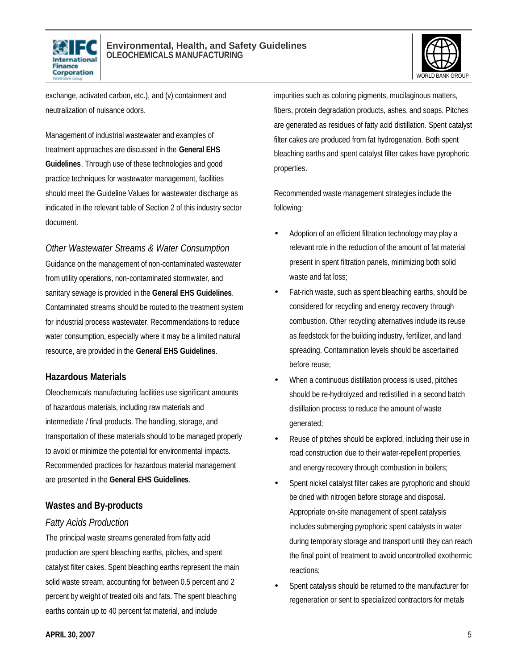



exchange, activated carbon, etc.), and (v) containment and neutralization of nuisance odors.

Management of industrial wastewater and examples of treatment approaches are discussed in the **General EHS Guidelines**. Through use of these technologies and good practice techniques for wastewater management, facilities should meet the Guideline Values for wastewater discharge as indicated in the relevant table of Section 2 of this industry sector document.

*Other Wastewater Streams & Water Consumption*

Guidance on the management of non-contaminated wastewater from utility operations, non-contaminated stormwater, and sanitary sewage is provided in the **General EHS Guidelines**. Contaminated streams should be routed to the treatment system for industrial process wastewater. Recommendations to reduce water consumption, especially where it may be a limited natural resource, are provided in the **General EHS Guidelines**.

### **Hazardous Materials**

Oleochemicals manufacturing facilities use significant amounts of hazardous materials, including raw materials and intermediate / final products. The handling, storage, and transportation of these materials should to be managed properly to avoid or minimize the potential for environmental impacts. Recommended practices for hazardous material management are presented in the **General EHS Guidelines**.

# **Wastes and By-products**

### *Fatty Acids Production*

The principal waste streams generated from fatty acid production are spent bleaching earths, pitches, and spent catalyst filter cakes. Spent bleaching earths represent the main solid waste stream, accounting for between 0.5 percent and 2 percent by weight of treated oils and fats. The spent bleaching earths contain up to 40 percent fat material, and include

impurities such as coloring pigments, mucilaginous matters, fibers, protein degradation products, ashes, and soaps. Pitches are generated as residues of fatty acid distillation. Spent catalyst filter cakes are produced from fat hydrogenation. Both spent bleaching earths and spent catalyst filter cakes have pyrophoric properties.

Recommended waste management strategies include the following:

- Adoption of an efficient filtration technology may play a relevant role in the reduction of the amount of fat material present in spent filtration panels, minimizing both solid waste and fat loss;
- Fat-rich waste, such as spent bleaching earths, should be considered for recycling and energy recovery through combustion. Other recycling alternatives include its reuse as feedstock for the building industry, fertilizer, and land spreading. Contamination levels should be ascertained before reuse;
- When a continuous distillation process is used, pitches should be re-hydrolyzed and redistilled in a second batch distillation process to reduce the amount of waste generated;
- Reuse of pitches should be explored, including their use in road construction due to their water-repellent properties, and energy recovery through combustion in boilers;
- Spent nickel catalyst filter cakes are pyrophoric and should be dried with nitrogen before storage and disposal. Appropriate on-site management of spent catalysis includes submerging pyrophoric spent catalysts in water during temporary storage and transport until they can reach the final point of treatment to avoid uncontrolled exothermic reactions;
- Spent catalysis should be returned to the manufacturer for regeneration or sent to specialized contractors for metals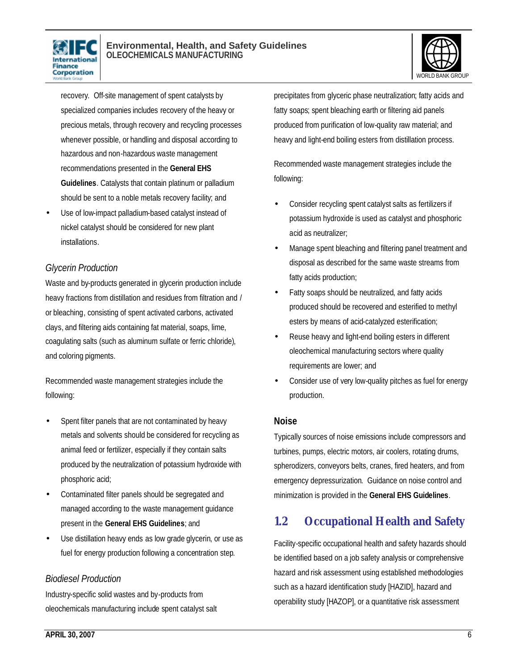



recovery. Off-site management of spent catalysts by specialized companies includes recovery of the heavy or precious metals, through recovery and recycling processes whenever possible, or handling and disposal according to hazardous and non-hazardous waste management recommendations presented in the **General EHS Guidelines**. Catalysts that contain platinum or palladium should be sent to a noble metals recovery facility; and

Use of low-impact palladium-based catalyst instead of nickel catalyst should be considered for new plant installations.

# *Glycerin Production*

Waste and by-products generated in glycerin production include heavy fractions from distillation and residues from filtration and / or bleaching, consisting of spent activated carbons, activated clays, and filtering aids containing fat material, soaps, lime, coagulating salts (such as aluminum sulfate or ferric chloride), and coloring pigments.

Recommended waste management strategies include the following:

- Spent filter panels that are not contaminated by heavy metals and solvents should be considered for recycling as animal feed or fertilizer, especially if they contain salts produced by the neutralization of potassium hydroxide with phosphoric acid;
- Contaminated filter panels should be segregated and managed according to the waste management guidance present in the **General EHS Guidelines**; and
- Use distillation heavy ends as low grade glycerin, or use as fuel for energy production following a concentration step.

### *Biodiesel Production*

Industry-specific solid wastes and by-products from oleochemicals manufacturing include spent catalyst salt precipitates from glyceric phase neutralization; fatty acids and fatty soaps; spent bleaching earth or filtering aid panels produced from purification of low-quality raw material; and heavy and light-end boiling esters from distillation process.

Recommended waste management strategies include the following:

- Consider recycling spent catalyst salts as fertilizers if potassium hydroxide is used as catalyst and phosphoric acid as neutralizer;
- Manage spent bleaching and filtering panel treatment and disposal as described for the same waste streams from fatty acids production;
- Fatty soaps should be neutralized, and fatty acids produced should be recovered and esterified to methyl esters by means of acid-catalyzed esterification;
- Reuse heavy and light-end boiling esters in different oleochemical manufacturing sectors where quality requirements are lower; and
- Consider use of very low-quality pitches as fuel for energy production.

### **Noise**

Typically sources of noise emissions include compressors and turbines, pumps, electric motors, air coolers, rotating drums, spherodizers, conveyors belts, cranes, fired heaters, and from emergency depressurization. Guidance on noise control and minimization is provided in the **General EHS Guidelines**.

# **1.2 Occupational Health and Safety**

Facility-specific occupational health and safety hazards should be identified based on a job safety analysis or comprehensive hazard and risk assessment using established methodologies such as a hazard identification study [HAZID], hazard and operability study [HAZOP], or a quantitative risk assessment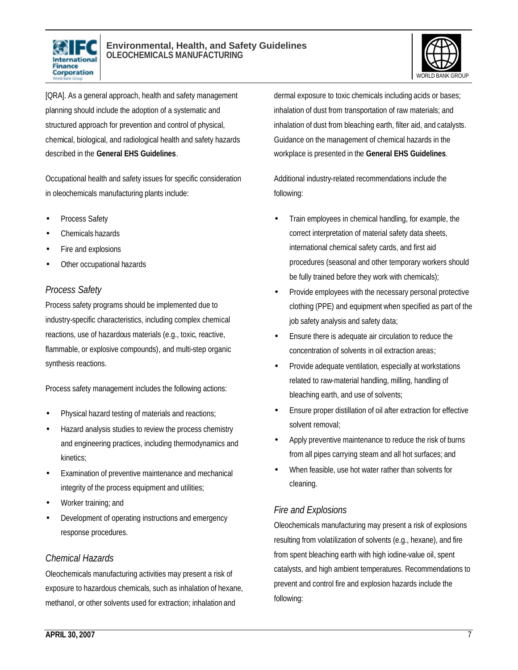



[QRA]. As a general approach, health and safety management planning should include the adoption of a systematic and structured approach for prevention and control of physical, chemical, biological, and radiological health and safety hazards described in the **General EHS Guidelines**.

Occupational health and safety issues for specific consideration in oleochemicals manufacturing plants include:

- Process Safety
- Chemicals hazards
- Fire and explosions
- Other occupational hazards

# *Process Safety*

Process safety programs should be implemented due to industry-specific characteristics, including complex chemical reactions, use of hazardous materials (e.g., toxic, reactive, flammable, or explosive compounds), and multi-step organic synthesis reactions.

Process safety management includes the following actions:

- Physical hazard testing of materials and reactions;
- Hazard analysis studies to review the process chemistry and engineering practices, including thermodynamics and kinetics;
- Examination of preventive maintenance and mechanical integrity of the process equipment and utilities;
- Worker training; and
- Development of operating instructions and emergency response procedures.

### *Chemical Hazards*

Oleochemicals manufacturing activities may present a risk of exposure to hazardous chemicals, such as inhalation of hexane, methanol, or other solvents used for extraction; inhalation and

dermal exposure to toxic chemicals including acids or bases; inhalation of dust from transportation of raw materials; and inhalation of dust from bleaching earth, filter aid, and catalysts. Guidance on the management of chemical hazards in the workplace is presented in the **General EHS Guidelines**.

Additional industry-related recommendations include the following:

- Train employees in chemical handling, for example, the correct interpretation of material safety data sheets, international chemical safety cards, and first aid procedures (seasonal and other temporary workers should be fully trained before they work with chemicals);
- Provide employees with the necessary personal protective clothing (PPE) and equipment when specified as part of the job safety analysis and safety data;
- Ensure there is adequate air circulation to reduce the concentration of solvents in oil extraction areas;
- Provide adequate ventilation, especially at workstations related to raw-material handling, milling, handling of bleaching earth, and use of solvents;
- Ensure proper distillation of oil after extraction for effective solvent removal;
- Apply preventive maintenance to reduce the risk of burns from all pipes carrying steam and all hot surfaces; and
- When feasible, use hot water rather than solvents for cleaning.

# *Fire and Explosions*

Oleochemicals manufacturing may present a risk of explosions resulting from volatilization of solvents (e.g., hexane), and fire from spent bleaching earth with high iodine-value oil, spent catalysts, and high ambient temperatures. Recommendations to prevent and control fire and explosion hazards include the following: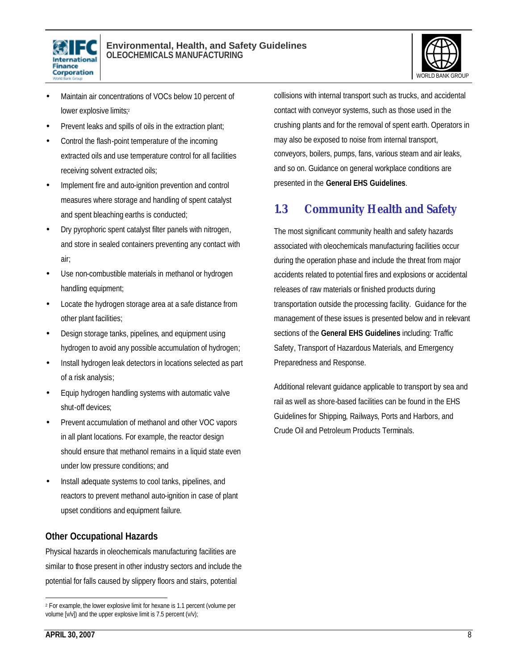



- Maintain air concentrations of VOCs below 10 percent of lower explosive limits;<sup>2</sup>
- Prevent leaks and spills of oils in the extraction plant;
- Control the flash-point temperature of the incoming extracted oils and use temperature control for all facilities receiving solvent extracted oils;
- Implement fire and auto-ignition prevention and control measures where storage and handling of spent catalyst and spent bleaching earths is conducted;
- Dry pyrophoric spent catalyst filter panels with nitrogen, and store in sealed containers preventing any contact with air;
- Use non-combustible materials in methanol or hydrogen handling equipment;
- Locate the hydrogen storage area at a safe distance from other plant facilities;
- Design storage tanks, pipelines, and equipment using hydrogen to avoid any possible accumulation of hydrogen;
- Install hydrogen leak detectors in locations selected as part of a risk analysis;
- Equip hydrogen handling systems with automatic valve shut-off devices;
- Prevent accumulation of methanol and other VOC vapors in all plant locations. For example, the reactor design should ensure that methanol remains in a liquid state even under low pressure conditions; and
- Install adequate systems to cool tanks, pipelines, and reactors to prevent methanol auto-ignition in case of plant upset conditions and equipment failure.

# **Other Occupational Hazards**

Physical hazards in oleochemicals manufacturing facilities are similar to those present in other industry sectors and include the potential for falls caused by slippery floors and stairs, potential

collisions with internal transport such as trucks, and accidental contact with conveyor systems, such as those used in the crushing plants and for the removal of spent earth. Operators in may also be exposed to noise from internal transport, conveyors, boilers, pumps, fans, various steam and air leaks, and so on. Guidance on general workplace conditions are presented in the **General EHS Guidelines**.

# **1.3 Community Health and Safety**

The most significant community health and safety hazards associated with oleochemicals manufacturing facilities occur during the operation phase and include the threat from major accidents related to potential fires and explosions or accidental releases of raw materials or finished products during transportation outside the processing facility. Guidance for the management of these issues is presented below and in relevant sections of the **General EHS Guidelines** including: Traffic Safety, Transport of Hazardous Materials, and Emergency Preparedness and Response.

Additional relevant guidance applicable to transport by sea and rail as well as shore-based facilities can be found in the EHS Guidelines for Shipping, Railways, Ports and Harbors, and Crude Oil and Petroleum Products Terminals.

 $\overline{a}$ 2 For example, the lower explosive limit for hexane is 1.1 percent (volume per volume [v/v]) and the upper explosive limit is 7.5 percent (v/v);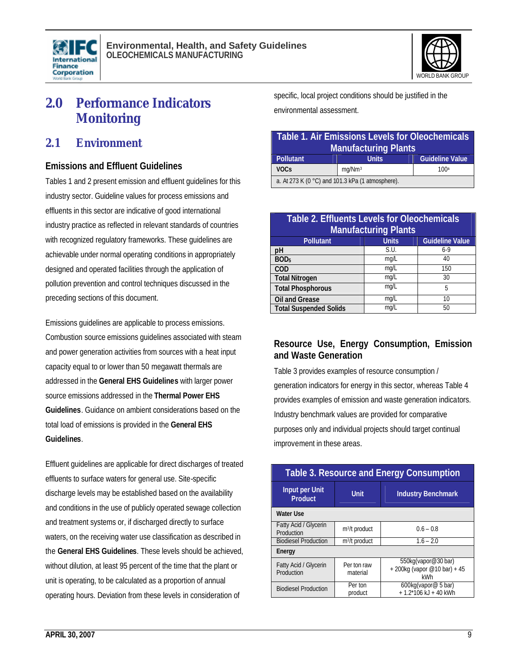



# **2.0 Performance Indicators Monitoring**

# **2.1 Environment**

### **Emissions and Effluent Guidelines**

Tables 1 and 2 present emission and effluent guidelines for this industry sector. Guideline values for process emissions and effluents in this sector are indicative of good international industry practice as reflected in relevant standards of countries with recognized regulatory frameworks. These guidelines are achievable under normal operating conditions in appropriately designed and operated facilities through the application of pollution prevention and control techniques discussed in the preceding sections of this document.

Emissions guidelines are applicable to process emissions. Combustion source emissions guidelines associated with steam and power generation activities from sources with a heat input capacity equal to or lower than 50 megawatt thermals are addressed in the **General EHS Guidelines** with larger power source emissions addressed in the **Thermal Power EHS Guidelines**. Guidance on ambient considerations based on the total load of emissions is provided in the **General EHS Guidelines**.

Effluent guidelines are applicable for direct discharges of treated effluents to surface waters for general use. Site-specific discharge levels may be established based on the availability and conditions in the use of publicly operated sewage collection and treatment systems or, if discharged directly to surface waters, on the receiving water use classification as described in the **General EHS Guidelines**. These levels should be achieved, without dilution, at least 95 percent of the time that the plant or unit is operating, to be calculated as a proportion of annual operating hours. Deviation from these levels in consideration of

specific, local project conditions should be justified in the environmental assessment.

| <b>Table 1. Air Emissions Levels for Oleochemicals</b><br><b>Manufacturing Plants</b> |                    |                        |  |  |
|---------------------------------------------------------------------------------------|--------------------|------------------------|--|--|
| Pollutant                                                                             | <b>Units</b>       | <b>Guideline Value</b> |  |  |
| <b>VOCs</b>                                                                           | mq/Nm <sup>3</sup> | 100a                   |  |  |
| a. At 273 K (0 °C) and 101.3 kPa (1 atmosphere).                                      |                    |                        |  |  |

| <b>Table 2. Effluents Levels for Oleochemicals</b><br><b>Manufacturing Plants</b> |              |                        |  |  |
|-----------------------------------------------------------------------------------|--------------|------------------------|--|--|
| <b>Pollutant</b>                                                                  | <b>Units</b> | <b>Guideline Value</b> |  |  |
| рH                                                                                | S.U.         | $6-9$                  |  |  |
| BOD <sub>5</sub>                                                                  | mq/L         | 40                     |  |  |
| <b>COD</b>                                                                        | mg/L         | 150                    |  |  |
| <b>Total Nitrogen</b>                                                             | mg/L         | 30                     |  |  |
| <b>Total Phosphorous</b>                                                          | mq/L         | 5                      |  |  |
| <b>Oil and Grease</b>                                                             | mg/L         | 10                     |  |  |
| <b>Total Suspended Solids</b>                                                     | mq/L         | 50                     |  |  |

# **Resource Use, Energy Consumption, Emission and Waste Generation**

Table 3 provides examples of resource consumption / generation indicators for energy in this sector, whereas Table 4 provides examples of emission and waste generation indicators. Industry benchmark values are provided for comparative purposes only and individual projects should target continual improvement in these areas.

| <b>Table 3. Resource and Energy Consumption</b> |                           |                                                          |  |  |
|-------------------------------------------------|---------------------------|----------------------------------------------------------|--|--|
| Input per Unit<br><b>Product</b>                | Unit                      | <b>Industry Benchmark</b>                                |  |  |
| <b>Water Use</b>                                |                           |                                                          |  |  |
| Fatty Acid / Glycerin<br>Production             | m <sup>3</sup> /t product | $0.6 - 0.8$                                              |  |  |
| <b>Biodiesel Production</b>                     | $m^3/t$ product           | $1.6 - 2.0$                                              |  |  |
| Energy                                          |                           |                                                          |  |  |
| Fatty Acid / Glycerin<br>Production             | Per ton raw<br>material   | 550kg(vapor@30 bar)<br>+200kg (vapor @10 bar) +45<br>kWh |  |  |
| <b>Biodiesel Production</b>                     | Per ton<br>product        | 600kg(vapor@ 5 bar)<br>$+1.2*106$ kJ + 40 kWh            |  |  |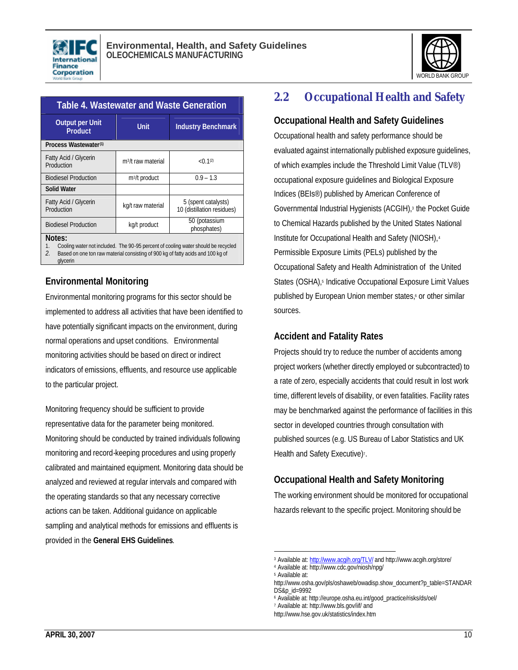



| <b>Table 4. Wastewater and Waste Generation</b>                                                                                                                                                                        |                                |                                                   |  |  |
|------------------------------------------------------------------------------------------------------------------------------------------------------------------------------------------------------------------------|--------------------------------|---------------------------------------------------|--|--|
| <b>Output per Unit</b><br><b>Product</b>                                                                                                                                                                               | <b>Unit</b>                    | <b>Industry Benchmark</b>                         |  |  |
| Process Wastewater <sup>(1)</sup>                                                                                                                                                                                      |                                |                                                   |  |  |
| Fatty Acid / Glycerin<br>Production                                                                                                                                                                                    | m <sup>3</sup> /t raw material | < 0.1 <sup>(2)</sup>                              |  |  |
| <b>Biodiesel Production</b>                                                                                                                                                                                            | m <sup>3</sup> /t product      | $0.9 - 1.3$                                       |  |  |
| <b>Solid Water</b>                                                                                                                                                                                                     |                                |                                                   |  |  |
| Fatty Acid / Glycerin<br>Production                                                                                                                                                                                    | kg/t raw material              | 5 (spent catalysts)<br>10 (distillation residues) |  |  |
| <b>Biodiesel Production</b>                                                                                                                                                                                            | kg/t product                   | 50 (potassium<br>phosphates)                      |  |  |
| Notes:<br>Cooling water not included. The 90-95 percent of cooling water should be recycled<br>$1_{-}$<br>$\mathcal{L}$<br>Based on one ton raw material consisting of 900 kg of fatty acids and 100 kg of<br>glycerin |                                |                                                   |  |  |

### **Environmental Monitoring**

Environmental monitoring programs for this sector should be implemented to address all activities that have been identified to have potentially significant impacts on the environment, during normal operations and upset conditions. Environmental monitoring activities should be based on direct or indirect indicators of emissions, effluents, and resource use applicable to the particular project.

Monitoring frequency should be sufficient to provide representative data for the parameter being monitored. Monitoring should be conducted by trained individuals following monitoring and record-keeping procedures and using properly calibrated and maintained equipment. Monitoring data should be analyzed and reviewed at regular intervals and compared with the operating standards so that any necessary corrective actions can be taken. Additional guidance on applicable sampling and analytical methods for emissions and effluents is provided in the **General EHS Guidelines**.

# **2.2 Occupational Health and Safety**

### **Occupational Health and Safety Guidelines**

Occupational health and safety performance should be evaluated against internationally published exposure guidelines, of which examples include the Threshold Limit Value (TLV®) occupational exposure guidelines and Biological Exposure Indices (BEIs®) published by American Conference of Governmental Industrial Hygienists (ACGIH),<sup>3</sup> the Pocket Guide to Chemical Hazards published by the United States National Institute for Occupational Health and Safety (NIOSH),<sup>4</sup> Permissible Exposure Limits (PELs) published by the Occupational Safety and Health Administration of the United States (OSHA),<sup>5</sup> Indicative Occupational Exposure Limit Values published by European Union member states, or other similar sources.

### **Accident and Fatality Rates**

Projects should try to reduce the number of accidents among project workers (whether directly employed or subcontracted) to a rate of zero, especially accidents that could result in lost work time, different levels of disability, or even fatalities. Facility rates may be benchmarked against the performance of facilities in this sector in developed countries through consultation with published sources (e.g. US Bureau of Labor Statistics and UK Health and Safety Executive)<sup>7</sup>.

# **Occupational Health and Safety Monitoring**

The working environment should be monitored for occupational hazards relevant to the specific project. Monitoring should be

l

http://www.hse.gov.uk/statistics/index.htm

<sup>&</sup>lt;sup>3</sup> Available at: http://www.acgih.org/TLV/ and http://www.acgih.org/store/

<sup>4</sup> Available at: http://www.cdc.gov/niosh/npg/ 5 Available at:

http://www.osha.gov/pls/oshaweb/owadisp.show\_document?p\_table=STANDAR DS&p\_id=9992

<sup>6</sup> Available at: http://europe.osha.eu.int/good\_practice/risks/ds/oel/

<sup>7</sup> Available at: http://www.bls.gov/iif/ and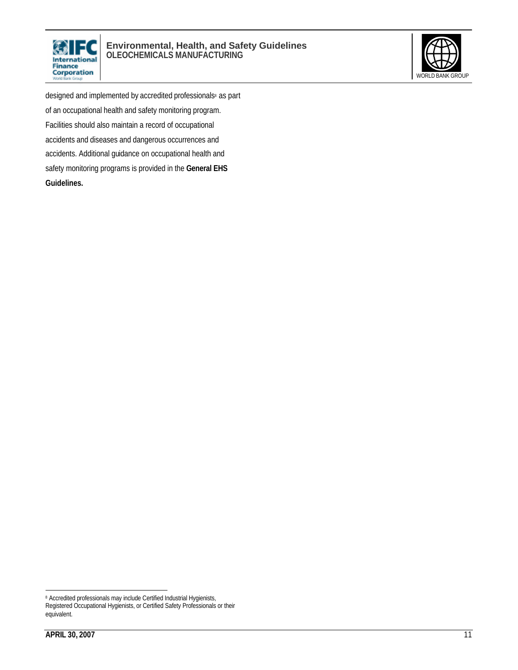



designed and implemented by accredited professionals<sup>8</sup> as part of an occupational health and safety monitoring program. Facilities should also maintain a record of occupational accidents and diseases and dangerous occurrences and accidents. Additional guidance on occupational health and safety monitoring programs is provided in the **General EHS Guidelines.**

 $\overline{a}$ <sup>8</sup> Accredited professionals may include Certified Industrial Hygienists, Registered Occupational Hygienists, or Certified Safety Professionals or their equivalent.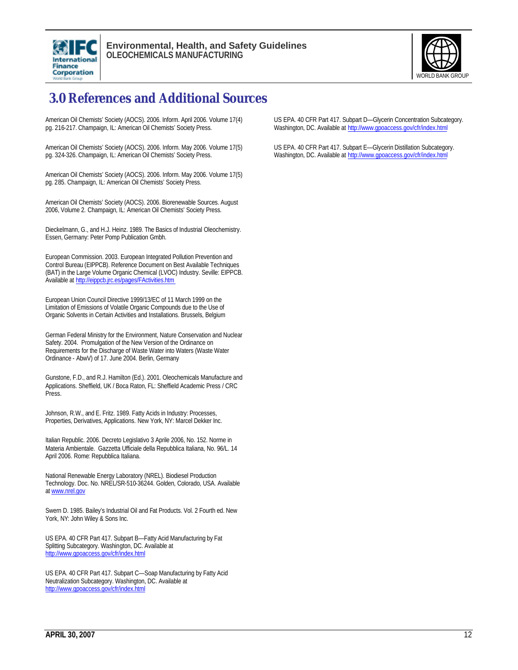



# **3.0 References and Additional Sources**

American Oil Chemists' Society (AOCS). 2006. Inform. April 2006. Volume 17(4) pg. 216-217. Champaign, IL: American Oil Chemists' Society Press.

American Oil Chemists' Society (AOCS). 2006. Inform. May 2006. Volume 17(5) pg. 324-326. Champaign, IL: American Oil Chemists' Society Press.

American Oil Chemists' Society (AOCS). 2006. Inform. May 2006. Volume 17(5) pg. 285. Champaign, IL: American Oil Chemists' Society Press.

American Oil Chemists' Society (AOCS). 2006. Biorenewable Sources. August 2006, Volume 2. Champaign, IL: American Oil Chemists' Society Press.

Dieckelmann, G., and H.J. Heinz. 1989. The Basics of Industrial Oleochemistry. Essen, Germany: Peter Pomp Publication Gmbh.

European Commission. 2003. European Integrated Pollution Prevention and Control Bureau (EIPPCB). Reference Document on Best Available Techniques (BAT) in the Large Volume Organic Chemical (LVOC) Industry. Seville: EIPPCB. Available at http://eippcb.jrc.es/pages/FActivities.htm

European Union Council Directive 1999/13/EC of 11 March 1999 on the Limitation of Emissions of Volatile Organic Compounds due to the Use of Organic Solvents in Certain Activities and Installations. Brussels, Belgium

German Federal Ministry for the Environment, Nature Conservation and Nuclear Safety. 2004. Promulgation of the New Version of the Ordinance on Requirements for the Discharge of Waste Water into Waters (Waste Water Ordinance - AbwV) of 17. June 2004. Berlin, Germany

Gunstone, F.D., and R.J. Hamilton (Ed.). 2001. Oleochemicals Manufacture and Applications. Sheffield, UK / Boca Raton, FL: Sheffield Academic Press / CRC Press.

Johnson, R.W., and E. Fritz. 1989. Fatty Acids in Industry: Processes, Properties, Derivatives, Applications. New York, NY: Marcel Dekker Inc.

Italian Republic. 2006. Decreto Legislativo 3 Aprile 2006, No. 152. Norme in Materia Ambientale. Gazzetta Ufficiale della Repubblica Italiana, No. 96/L. 14 April 2006. Rome: Repubblica Italiana.

National Renewable Energy Laboratory (NREL). Biodiesel Production Technology. Doc. No. NREL/SR-510-36244. Golden, Colorado, USA. Available at www.nrel.gov

Swern D. 1985. Bailey's Industrial Oil and Fat Products. Vol. 2 Fourth ed. New York, NY: John Wiley & Sons Inc.

US EPA. 40 CFR Part 417. Subpart B—Fatty Acid Manufacturing by Fat Splitting Subcategory. Washington, DC. Available at http://www.gpoaccess.gov/cfr/index.html

US EPA. 40 CFR Part 417. Subpart C—Soap Manufacturing by Fatty Acid Neutralization Subcategory. Washington, DC. Available at http://www.gpoaccess.gov/cfr/index.html

US EPA. 40 CFR Part 417. Subpart D—Glycerin Concentration Subcategory. Washington, DC. Available at http://www.gpoaccess.gov/cfr/index.html

US EPA. 40 CFR Part 417. Subpart E—Glycerin Distillation Subcategory. Washington, DC. Available at http://www.gpoaccess.gov/cfr/index.html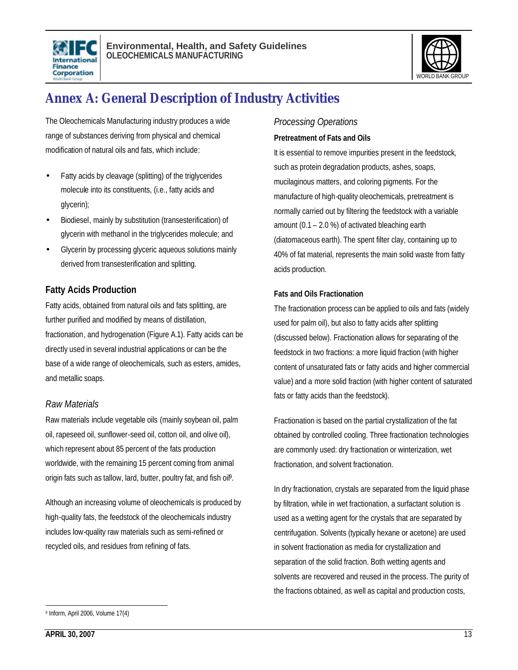



# **Annex A: General Description of Industry Activities**

The Oleochemicals Manufacturing industry produces a wide range of substances deriving from physical and chemical modification of natural oils and fats, which include:

- Fatty acids by cleavage (splitting) of the triglycerides molecule into its constituents, (i.e., fatty acids and glycerin);
- Biodiesel, mainly by substitution (transesterification) of glycerin with methanol in the triglycerides molecule; and
- Glycerin by processing glyceric aqueous solutions mainly derived from transesterification and splitting.

# **Fatty Acids Production**

Fatty acids, obtained from natural oils and fats splitting, are further purified and modified by means of distillation, fractionation, and hydrogenation (Figure A.1). Fatty acids can be directly used in several industrial applications or can be the base of a wide range of oleochemicals, such as esters, amides, and metallic soaps.

### *Raw Materials*

Raw materials include vegetable oils (mainly soybean oil, palm oil, rapeseed oil, sunflower-seed oil, cotton oil, and olive oil), which represent about 85 percent of the fats production worldwide, with the remaining 15 percent coming from animal origin fats such as tallow, lard, butter, poultry fat, and fish oil<sup>9</sup>.

Although an increasing volume of oleochemicals is produced by high-quality fats, the feedstock of the oleochemicals industry includes low-quality raw materials such as semi-refined or recycled oils, and residues from refining of fats.

### *Processing Operations*

### **Pretreatment of Fats and Oils**

It is essential to remove impurities present in the feedstock, such as protein degradation products, ashes, soaps, mucilaginous matters, and coloring pigments. For the manufacture of high-quality oleochemicals, pretreatment is normally carried out by filtering the feedstock with a variable amount (0.1 – 2.0 %) of activated bleaching earth (diatomaceous earth). The spent filter clay, containing up to 40% of fat material, represents the main solid waste from fatty acids production.

#### **Fats and Oils Fractionation**

The fractionation process can be applied to oils and fats (widely used for palm oil), but also to fatty acids after splitting (discussed below). Fractionation allows for separating of the feedstock in two fractions: a more liquid fraction (with higher content of unsaturated fats or fatty acids and higher commercial value) and a more solid fraction (with higher content of saturated fats or fatty acids than the feedstock).

Fractionation is based on the partial crystallization of the fat obtained by controlled cooling. Three fractionation technologies are commonly used: dry fractionation or winterization, wet fractionation, and solvent fractionation.

In dry fractionation, crystals are separated from the liquid phase by filtration, while in wet fractionation, a surfactant solution is used as a wetting agent for the crystals that are separated by centrifugation. Solvents (typically hexane or acetone) are used in solvent fractionation as media for crystallization and separation of the solid fraction. Both wetting agents and solvents are recovered and reused in the process. The purity of the fractions obtained, as well as capital and production costs,

 $\overline{a}$ 9 Inform, April 2006, Volume 17(4)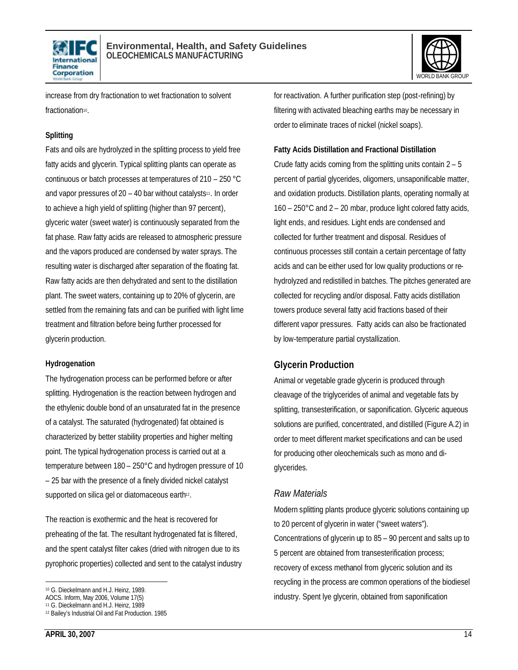



increase from dry fractionation to wet fractionation to solvent fractionation<sup>10</sup>.

### **Splitting**

Fats and oils are hydrolyzed in the splitting process to yield free fatty acids and glycerin. Typical splitting plants can operate as continuous or batch processes at temperatures of 210 – 250 °C and vapor pressures of  $20 - 40$  bar without catalysts<sup>11</sup>. In order to achieve a high yield of splitting (higher than 97 percent), glyceric water (sweet water) is continuously separated from the fat phase. Raw fatty acids are released to atmospheric pressure and the vapors produced are condensed by water sprays. The resulting water is discharged after separation of the floating fat. Raw fatty acids are then dehydrated and sent to the distillation plant. The sweet waters, containing up to 20% of glycerin, are settled from the remaining fats and can be purified with light lime treatment and filtration before being further processed for glycerin production.

#### **Hydrogenation**

The hydrogenation process can be performed before or after splitting. Hydrogenation is the reaction between hydrogen and the ethylenic double bond of an unsaturated fat in the presence of a catalyst. The saturated (hydrogenated) fat obtained is characterized by better stability properties and higher melting point. The typical hydrogenation process is carried out at a temperature between 180 – 250°C and hydrogen pressure of 10 – 25 bar with the presence of a finely divided nickel catalyst supported on silica gel or diatomaceous earth<sup>12</sup>.

The reaction is exothermic and the heat is recovered for preheating of the fat. The resultant hydrogenated fat is filtered, and the spent catalyst filter cakes (dried with nitrogen due to its pyrophoric properties) collected and sent to the catalyst industry for reactivation. A further purification step (post-refining) by filtering with activated bleaching earths may be necessary in order to eliminate traces of nickel (nickel soaps).

# **Fatty Acids Distillation and Fractional Distillation**

Crude fatty acids coming from the splitting units contain 2 – 5 percent of partial glycerides, oligomers, unsaponificable matter, and oxidation products. Distillation plants, operating normally at 160 – 250°C and 2 – 20 mbar, produce light colored fatty acids, light ends, and residues. Light ends are condensed and collected for further treatment and disposal. Residues of continuous processes still contain a certain percentage of fatty acids and can be either used for low quality productions or rehydrolyzed and redistilled in batches. The pitches generated are collected for recycling and/or disposal. Fatty acids distillation towers produce several fatty acid fractions based of their different vapor pressures. Fatty acids can also be fractionated by low-temperature partial crystallization.

# **Glycerin Production**

Animal or vegetable grade glycerin is produced through cleavage of the triglycerides of animal and vegetable fats by splitting, transesterification, or saponification. Glyceric aqueous solutions are purified, concentrated, and distilled (Figure A.2) in order to meet different market specifications and can be used for producing other oleochemicals such as mono and diglycerides.

### *Raw Materials*

Modern splitting plants produce glyceric solutions containing up to 20 percent of glycerin in water ("sweet waters"). Concentrations of glycerin up to 85 – 90 percent and salts up to 5 percent are obtained from transesterification process; recovery of excess methanol from glyceric solution and its recycling in the process are common operations of the biodiesel industry. Spent lye glycerin, obtained from saponification

l <sup>10</sup> G. Dieckelmann and H.J. Heinz, 1989.

AOCS. Inform, May 2006, Volume 17(5)

<sup>11</sup> G. Dieckelmann and H.J. Heinz, 1989

<sup>12</sup> Bailey's Industrial Oil and Fat Production. 1985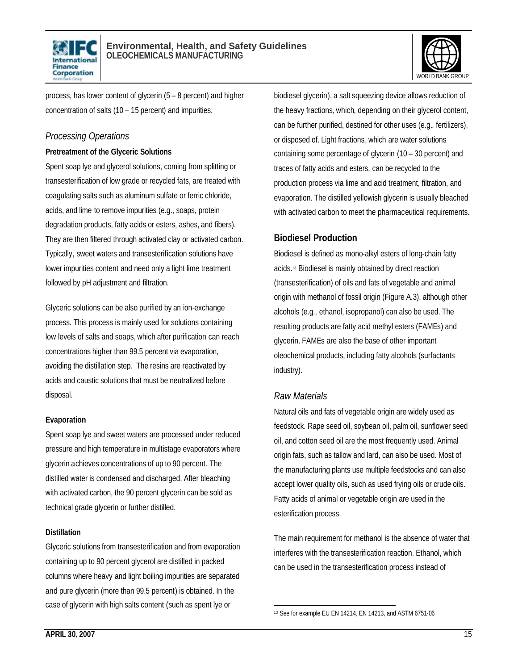



process, has lower content of glycerin (5 – 8 percent) and higher concentration of salts (10 – 15 percent) and impurities.

### *Processing Operations*

#### **Pretreatment of the Glyceric Solutions**

Spent soap lye and glycerol solutions, coming from splitting or transesterification of low grade or recycled fats, are treated with coagulating salts such as aluminum sulfate or ferric chloride, acids, and lime to remove impurities (e.g., soaps, protein degradation products, fatty acids or esters, ashes, and fibers). They are then filtered through activated clay or activated carbon. Typically, sweet waters and transesterification solutions have lower impurities content and need only a light lime treatment followed by pH adjustment and filtration.

Glyceric solutions can be also purified by an ion-exchange process. This process is mainly used for solutions containing low levels of salts and soaps, which after purification can reach concentrations higher than 99.5 percent via evaporation, avoiding the distillation step. The resins are reactivated by acids and caustic solutions that must be neutralized before disposal.

#### **Evaporation**

Spent soap lye and sweet waters are processed under reduced pressure and high temperature in multistage evaporators where glycerin achieves concentrations of up to 90 percent. The distilled water is condensed and discharged. After bleaching with activated carbon, the 90 percent glycerin can be sold as technical grade glycerin or further distilled.

#### **Distillation**

Glyceric solutions from transesterification and from evaporation containing up to 90 percent glycerol are distilled in packed columns where heavy and light boiling impurities are separated and pure glycerin (more than 99.5 percent) is obtained. In the case of glycerin with high salts content (such as spent lye or

biodiesel glycerin), a salt squeezing device allows reduction of the heavy fractions, which, depending on their glycerol content, can be further purified, destined for other uses (e.g., fertilizers), or disposed of. Light fractions, which are water solutions containing some percentage of glycerin (10 – 30 percent) and traces of fatty acids and esters, can be recycled to the production process via lime and acid treatment, filtration, and evaporation. The distilled yellowish glycerin is usually bleached with activated carbon to meet the pharmaceutical requirements.

### **Biodiesel Production**

Biodiesel is defined as mono-alkyl esters of long-chain fatty acids.<sup>13</sup> Biodiesel is mainly obtained by direct reaction (transesterification) of oils and fats of vegetable and animal origin with methanol of fossil origin (Figure A.3), although other alcohols (e.g., ethanol, isopropanol) can also be used. The resulting products are fatty acid methyl esters (FAMEs) and glycerin. FAMEs are also the base of other important oleochemical products, including fatty alcohols (surfactants industry).

### *Raw Materials*

Natural oils and fats of vegetable origin are widely used as feedstock. Rape seed oil, soybean oil, palm oil, sunflower seed oil, and cotton seed oil are the most frequently used. Animal origin fats, such as tallow and lard, can also be used. Most of the manufacturing plants use multiple feedstocks and can also accept lower quality oils, such as used frying oils or crude oils. Fatty acids of animal or vegetable origin are used in the esterification process.

The main requirement for methanol is the absence of water that interferes with the transesterification reaction. Ethanol, which can be used in the transesterification process instead of

 $\overline{a}$ 13 See for example EU EN 14214, EN 14213, and ASTM 6751-06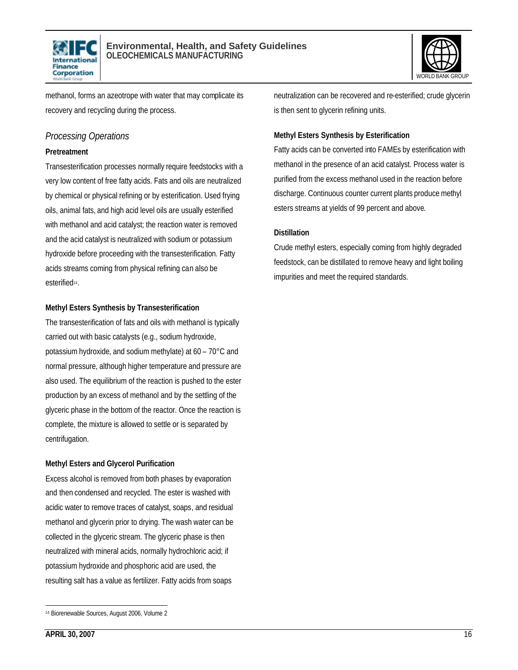



methanol, forms an azeotrope with water that may complicate its recovery and recycling during the process.

### *Processing Operations*

#### **Pretreatment**

Transesterification processes normally require feedstocks with a very low content of free fatty acids. Fats and oils are neutralized by chemical or physical refining or by esterification. Used frying oils, animal fats, and high acid level oils are usually esterified with methanol and acid catalyst; the reaction water is removed and the acid catalyst is neutralized with sodium or potassium hydroxide before proceeding with the transesterification. Fatty acids streams coming from physical refining can also be esterified<sup>14</sup>.

#### **Methyl Esters Synthesis by Transesterification**

The transesterification of fats and oils with methanol is typically carried out with basic catalysts (e.g., sodium hydroxide, potassium hydroxide, and sodium methylate) at 60 – 70°C and normal pressure, although higher temperature and pressure are also used. The equilibrium of the reaction is pushed to the ester production by an excess of methanol and by the settling of the glyceric phase in the bottom of the reactor. Once the reaction is complete, the mixture is allowed to settle or is separated by centrifugation.

### **Methyl Esters and Glycerol Purification**

Excess alcohol is removed from both phases by evaporation and then condensed and recycled. The ester is washed with acidic water to remove traces of catalyst, soaps, and residual methanol and glycerin prior to drying. The wash water can be collected in the glyceric stream. The glyceric phase is then neutralized with mineral acids, normally hydrochloric acid; if potassium hydroxide and phosphoric acid are used, the resulting salt has a value as fertilizer. Fatty acids from soaps

neutralization can be recovered and re-esterified; crude glycerin is then sent to glycerin refining units.

### **Methyl Esters Synthesis by Esterification**

Fatty acids can be converted into FAMEs by esterification with methanol in the presence of an acid catalyst. Process water is purified from the excess methanol used in the reaction before discharge. Continuous counter current plants produce methyl esters streams at yields of 99 percent and above.

#### **Distillation**

Crude methyl esters, especially coming from highly degraded feedstock, can be distillated to remove heavy and light boiling impurities and meet the required standards.

 $\overline{a}$ <sup>14</sup> Biorenewable Sources, August 2006, Volume 2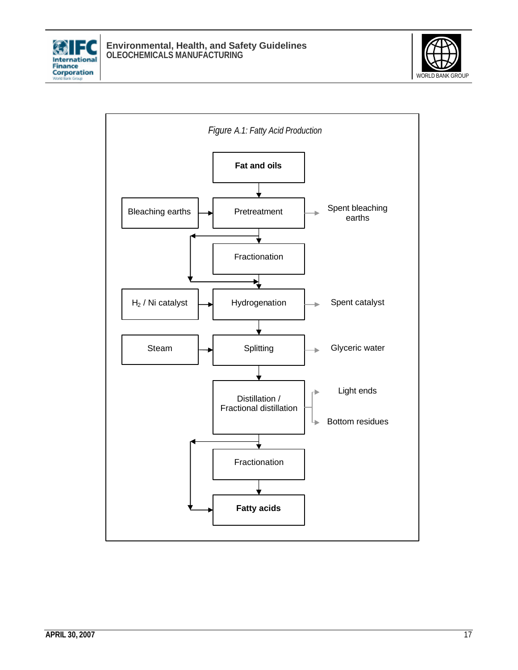



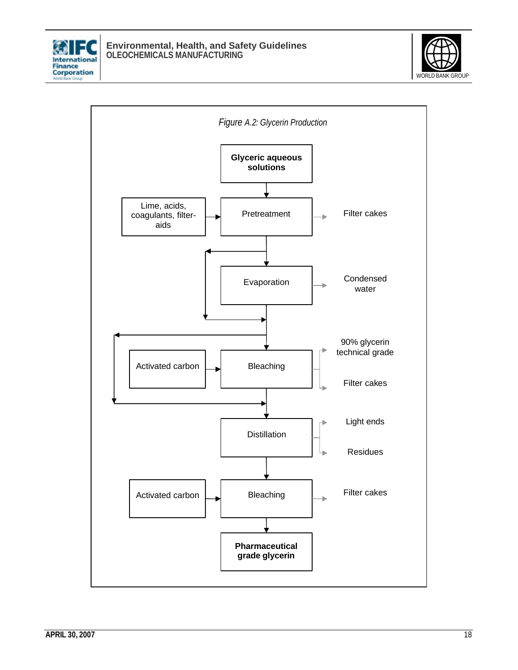